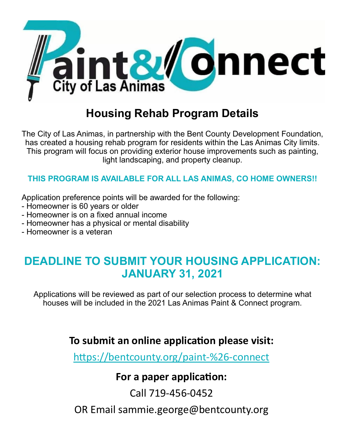

# **Housing Rehab Program Details**

The City of Las Animas, in partnership with the Bent County Development Foundation, has created a housing rehab program for residents within the Las Animas City limits. This program will focus on providing exterior house improvements such as painting, light landscaping, and property cleanup.

#### **THIS PROGRAM IS AVAILABLE FOR ALL LAS ANIMAS, CO HOME OWNERS!!**

Application preference points will be awarded for the following:

- Homeowner is 60 years or older
- Homeowner is on a fixed annual income
- Homeowner has a physical or mental disability
- Homeowner is a veteran

### **DEADLINE TO SUBMIT YOUR HOUSING APPLICATION: JANUARY 31, 2021**

Applications will be reviewed as part of our selection process to determine what houses will be included in the 2021 Las Animas Paint & Connect program.

### **To submit an online application please visit:**

[https://bentcounty.org/paint](https://bentcounty.org/paint-%26-connect)-%26-connect

### **For a paper application:**

Call 719-456-0452

OR Email sammie.george@bentcounty.org